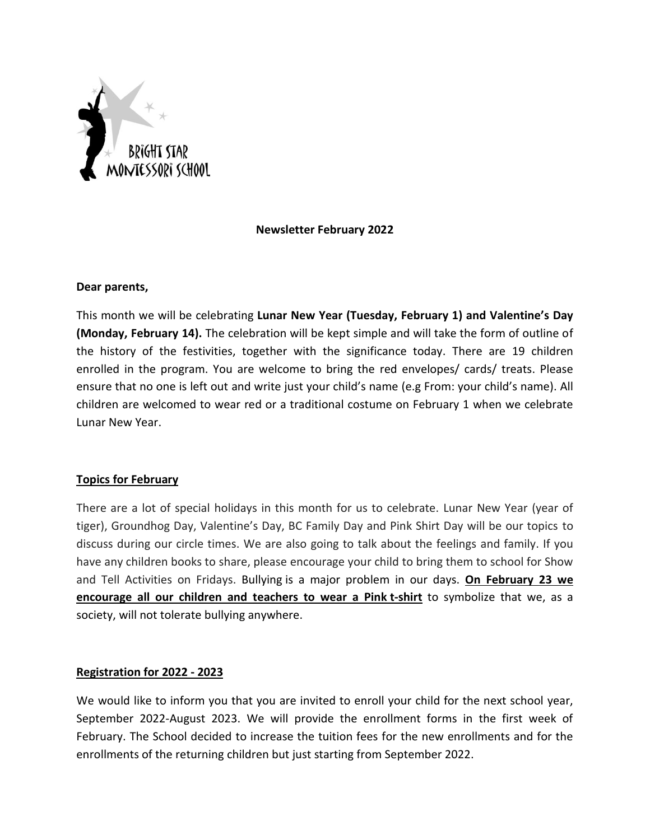

# **Newsletter February 2022**

### **Dear parents,**

This month we will be celebrating **Lunar New Year (Tuesday, February 1) and Valentine's Day (Monday, February 14).** The celebration will be kept simple and will take the form of outline of the history of the festivities, together with the significance today. There are 19 children enrolled in the program. You are welcome to bring the red envelopes/ cards/ treats. Please ensure that no one is left out and write just your child's name (e.g From: your child's name). All children are welcomed to wear red or a traditional costume on February 1 when we celebrate Lunar New Year.

## **Topics for February**

There are a lot of special holidays in this month for us to celebrate. Lunar New Year (year of tiger), Groundhog Day, Valentine's Day, BC Family Day and Pink Shirt Day will be our topics to discuss during our circle times. We are also going to talk about the feelings and family. If you have any children books to share, please encourage your child to bring them to school for Show and Tell Activities on Fridays. Bullying is a major problem in our days. **On February 23 we encourage all our children and teachers to wear a Pink t-shirt** to symbolize that we, as a society, will not tolerate bullying anywhere.

## **Registration for 2022 - 2023**

We would like to inform you that you are invited to enroll your child for the next school year, September 2022-August 2023. We will provide the enrollment forms in the first week of February. The School decided to increase the tuition fees for the new enrollments and for the enrollments of the returning children but just starting from September 2022.